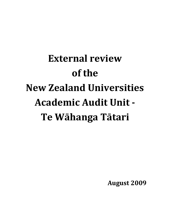# **External review of the New Zealand Universities Academic Audit Unit - Te Wāhanga Tātari**

**August 2009**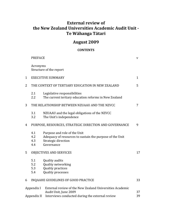# **External review of the New Zealand Universities Academic Audit Unit - Te Wāhanga Tātari**

# **August 2009**

# **CONTENTS**

|                | <b>PREFACE</b>                                         |                                                                                                                               | V            |
|----------------|--------------------------------------------------------|-------------------------------------------------------------------------------------------------------------------------------|--------------|
|                | Acronyms                                               |                                                                                                                               |              |
|                |                                                        | Structure of the report                                                                                                       |              |
| $\mathbf{1}$   |                                                        | <b>EXECUTIVE SUMMARY</b>                                                                                                      | $\mathbf{1}$ |
| $\overline{2}$ | THE CONTEXT OF TERTIARY EDUCATION IN NEW ZEALAND       |                                                                                                                               | 5            |
|                | 2.1<br>2.2                                             | Legislative responsibilities<br>The current tertiary education reforms in New Zealand                                         |              |
| 3              |                                                        | THE RELATIONSHIP BETWEEN NZUAAU AND THE NZVCC                                                                                 | 7            |
|                | 3.1<br>3.2                                             | NZUAAU and the legal obligations of the NZVCC<br>The Unit's independence                                                      |              |
| $\overline{4}$ | PURPOSE, RESOURCES, STRATEGIC DIRECTION AND GOVERNANCE |                                                                                                                               |              |
|                | 4.1<br>4.2<br>4.3<br>4.4                               | Purpose and role of the Unit<br>Adequacy of resources to sustain the purpose of the Unit<br>Strategic direction<br>Governance |              |
| 5              | <b>OBJECTIVES AND SERVICES</b>                         |                                                                                                                               | 17           |
|                | 5.1<br>5.2<br>5.3<br>5.4                               | Quality audits<br>Quality networking<br>Quality practices<br>Quality processes                                                |              |
| 6              |                                                        | INQAAHE GUIDELINES OF GOOD PRACTICE                                                                                           | 33           |
|                | Appendix I                                             | External review of the New Zealand Universities Academic<br>Audit Unit, June 2009                                             | 37           |
|                | Appendix II                                            | Interviews conducted during the external review                                                                               | 39           |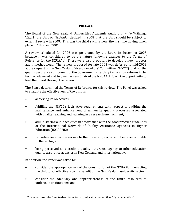#### **PREFACE**

The Board of the New Zealand Universities Academic Audit Unit – Te Wāhanga Tātari (the Unit or NZUAAU) decided in 2008 that the Unit should be subject to external review in 2009. This was the third such review, the first two having taken place in 1997 and 2001.

A review scheduled for 2006 was postponed by the Board in December 2005 because it was considered to be premature following changes to the Terms of Reference for the NZUAAU. There were also proposals to develop a new 'process audit' methodology. The review proposed for late 2008 was deferred to mid-2009 at the request of the New Zealand Vice-Chancellors' Comm[it](#page-4-0)tee (NZVCC) to allow the quality assurance component of the Government's tertiary<sup>1</sup> education reforms to be further advanced and to give the new Chair of the NZUAAU Board the opportunity to lead the Board through the review.

The Board determined the Terms of Reference for this review. The Panel was asked to evaluate the effectiveness of the Unit in:

- achieving its objectives;
- fulfilling the NZVCC's legislative requirements with respect to auditing the maintenance and enhancement of university quality processes associated with quality teaching and learning in a research environment;
- administering audit activities in accordance with the good practice guidelines of the International Network of Quality Assurance Agencies in Higher Education (INQAAHE);
- providing an effective service to the university sector and being accountable to the sector; and
- being perceived as a credible quality assurance agency to other education quality assurance agencies in New Zealand and internationally.

In addition, the Panel was asked to:

 $\overline{a}$ 

- consider the appropriateness of the Constitution of the NZUAAU in enabling the Unit to act effectively to the benefit of the New Zealand university sector;
- consider the adequacy and appropriateness of the Unit's resources to undertake its functions; and

<span id="page-4-0"></span><sup>&</sup>lt;sup>1</sup> This report uses the New Zealand term 'tertiary education' rather than 'higher education'.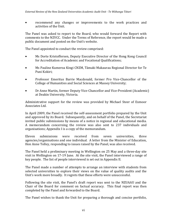• recommend any changes or improvements to the work practices and activities of the Unit.

The Panel was asked to report to the Board, who would forward the Report with comments to the NZVCC. Under the Terms of Reference, the report would be made a public document and posted on the Unit's website.

The Panel appointed to conduct the review comprised:

- Ms Dorte Kristoffersen, Deputy Executive Director of the Hong Kong Council for Accreditation of Academic and Vocational Qualifications;
- Ms Pauline Kumeroa Kingi CNZM, Tāmaki Makaurau Regional Director for Te Puni Kokiri;
- Professor Emeritus Barrie Macdonald, former Pro Vice-Chancellor of the College of Humanities and Social Sciences at Massey University;
- Dr Anne Martin, former Deputy Vice-Chancellor and Vice-President (Academic) at Deakin University, Victoria.

Administrative support for the review was provided by Michael Steer of Exmoor Associates Ltd.

In April 2009, the Panel received the self-assessment portfolio prepared by the Unit and approved by its Board. Subsequently, and on behalf of the Panel, the Secretariat invited public submissions by means of a notice in regional and educational media. A memorandum concerning the review was also sent to 237 individuals and organisations; Appendix I is a copy of the memorandum.

Eleven submissions were received from seven universities, three agencies/organisations and one individual. A letter from the Minister of Education, Hon Anne Tolley, responding to issues raised by the Panel, was also received.

The Panel held a preliminary meeting in Wellington on 25 May and a three-day site visit in Wellington on 17-19 June. At the site visit, the Panel interviewed a range of key people. The list of people interviewed is set out in Appendix II.

The Panel made a number of attempts to arrange an interview with students from selected universities to explore their views on the value of quality audits and the Unit's work more broadly. It regrets that these efforts were unsuccessful.

completed by the Panel and forwarded to the Board. Following the site visit, the Panel's draft report was sent to the NZUAAU and the Chair of the Board for comment on factual accuracy. This final report was then

The Panel wishes to thank the Unit for preparing a thorough and concise portfolio,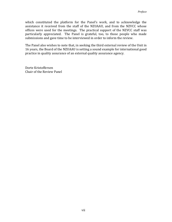which constituted the platform for the Panel's work, and to acknowledge the assistance it received from the staff of the NZUAAU, and from the NZVCC whose offices were used for the meetings. The practical support of the NZVCC staff was particularly appreciated. The Panel is grateful, too, to those people who made submissions and gave time to be interviewed in order to inform the review.

The Panel also wishes to note that, in seeking the third external review of the Unit in 16 years, the Board of the NZUAAU is setting a sound example for international good practice in quality assurance of an external quality assurance agency.

D orte Kristoffersen C hair of the Review Panel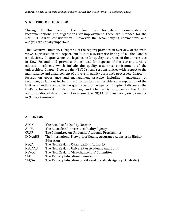#### **STRUCTURE OF THE REPORT**

Throughout this report, the Panel has formulated commendations, recommendations and suggestions for improvement; these are intended for the NZUAAU Board's consideration. However, the accompanying commentary and analysis are equally important.

The Executive Summary (Chapter 1 of the report) provides an overview of the main views expressed in the report, but is not a systematic listing of all the Panel's conclusions. Chapter 2 sets the legal scene for quality assurance of the universities in New Zealand and provides the context for aspects of the current tertiary education reforms, which include the quality assurance environment of the universities. Chapter 3 covers the NZVCC's legal responsibilities with respect to the maintenance and enhancement of university quality assurance processes. Chapter 4 focuses on governance and management practice, including management of resources, as laid out in the Unit's Constitution, and considers the reputation of the Unit as a credible and effective quality assurance agency. Chapter 5 discusses the Unit's achievement of its objectives, and Chapter 6 summarises the Unit's dministration of its audit activities against the INQAAHE *Guidelines of Good Practice*  a *n Quality Assurance*. *i*

# **ACRONYMS**

| <b>APON</b>    | The Asia Pacific Quality Network                                  |
|----------------|-------------------------------------------------------------------|
| <b>AUQA</b>    | The Australian Universities Quality Agency                        |
| <b>CUAP</b>    | The Committee on University Academic Programmes                   |
| <b>INQAAHE</b> | The International Network of Quality Assurance Agencies in Higher |
|                | Education                                                         |
| <b>NZQA</b>    | The New Zealand Qualifications Authority                          |
| <b>NZUAAU</b>  | The New Zealand Universities Academic Audit Unit                  |
| <b>NZVCC</b>   | The New Zealand Vice-Chancellors' Committee                       |
| TEC            | The Tertiary Education Commission                                 |
| <b>TEQSA</b>   | The Tertiary Education Quality and Standards Agency (Australia)   |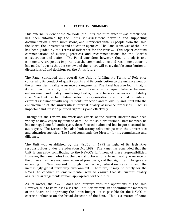# **1 EXECUTIVE SUMMARY**

This external review of the NZUAAU (the Unit), the third since it was established, has been informed by the Unit's self-assessment portfolio and supporting documentation, eleven submissions, and interviews with 38 people from the Unit, the Board, the universities and education agencies. The Panel's analysis of the Unit has been guided by the Terms of Reference for the review. This report contains commendations of existing practices and recommendations for the Board's consideration and action. The Panel considers, however, that its analysis and commentary are just as important as the commendations and recommendations it has made. It trusts that the review and the report will be a valuable contribution to discussions of, and decisions on, the Unit's future.

The Panel concluded that, overall, the Unit is fulfilling its Terms of Reference concerning its conduct of quality audits and its contribution to the enhancement of the universities' quality assurance arrangements. The Panel has also found that, in its approach to audit, the Unit could have a more equal balance between enhancement and quality monitoring - that is, it could have a stronger accountability role. The Unit has two distinct roles: the organisation of audits that provide an external assessment with requirements for action and follow-up; and input into the enhancement of the universities' internal quality assurance processes. Each is important and must be pursued rigorously and effectively.

Throughout the review, the work and efforts of the current Director have been widely acknowledged by stakeholders. As the sole professional staff member, he has managed one full audit cycle, three focused audits and has begun a second full audit cycle. The Director has also built strong relationships with the universities and education agencies. The Panel commends the Director for his commitment and diligence.

The Unit was established by the NZVCC in 1993 in light of its legislative responsibilities under the Education Act 1989. The Panel has concluded that the Unit is currently contributing to the NZVCC's fulfilment of these responsibilities. However, the Panel notes that the basic structures for external quality assurance of the universities have not been reviewed previously, and that significant changes are occurring in New Zealand through the tertiary education reforms and the increasingly global university environment. Therefore, it may be timely for the NZVCC to conduct an environmental scan to ensure that its current quality assurance arrangements remain appropriate for the future.

As its owner, the NZVCC does not interfere with the operations of the Unit. However, due to its role vis-à-vis the Unit - for example, in appointing the members of the Board and approving the Unit's budget - it is possible for the NZVCC to exercise influence on the broad direction of the Unit. This is a matter of some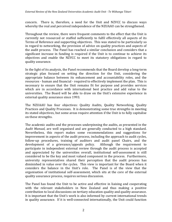concern. There is, therefore, a need for the Unit and NZVCC to discuss ways whereby the real and perceived independence of the NZUAAU can be strengthened.

Throughout the review, there were frequent comments to the effect that the Unit is currently not resourced or staffed sufficiently to fulfil effectively all aspects of its Terms of Reference and supporting objectives. This was stated to be particularly so in regard to networking, the provision of advice on quality practices and aspects of the audit process. The Panel has reached a similar conclusion and considers that a significant increase in funding is required if the Unit is to continue to achieve its objectives and enable the NZVCC to meet its statutory obligations in regard to quality assurance.

In the light of its analysis, the Panel recommends that the Board develop a long-term strategic plan focused on setting the direction for the Unit, considering the appropriate balance between its enhancement and accountability roles, and the resources - human and financial - required to effectively implement the plan. This is necessary to ensure that the Unit remains fit for purpose and provides services which are in accordance with international best practice and add value to the universities. The Board will be able to draw on the Unit's extensive experience in external quality assurance since 1993.

The NZUAAU has four objectives: Quality Audits, Quality Networking, Quality Practices and Quality Processes. It is demonstrating some true strengths in meeting its stated objectives, but some areas require attention if the Unit is to fully capitalise on these strengths.

quality assurance process, requires serious discussion. The academic audits and the processes underpinning the audits, as presented in the *Audit Manual*, are well organised and are generally conducted to a high standard. Nevertheless, this report makes some recommendations and suggestions for improvement in aspects of the audit process, including the approach to audit cycles, follow-up procedures, training of auditors and audit panel Chairs, and the development of a grievance/appeals policy. Although the requirement to participate in independent external review through the audit process is accepted and appreciated by the universities overall, institutional self-assessment is still considered to be the key and most valued component in the process. Furthermore, university representatives shared their perception that the audit process has diminished in value over the cycles. This view is important for the Board when it considers the balance in the Unit's role. The Panel is of the view that the organisation of institutional self-assessment, which sits at the core of the external

The Panel has found the Unit to be active and effective in liaising and cooperating with the relevant stakeholders in New Zealand and thus making a positive contribution to local discussions on tertiary education quality and quality assurance. It is important that the Unit's work is also informed by current international trends in quality assurance. If it is well-connected internationally, the Unit could function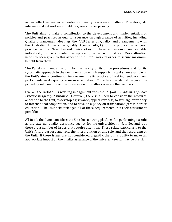as an effective resource centre in quality assurance matters. Therefore, its international networking should be given a higher priority.

The Unit aims to make a contribution to the development and implementation of policies and practices in quality assurance through a range of activities, including Quality Enhancement Meetings, the 'AAU Series on Quality' and arrangements with the Australian Universities Quality Agency (AUQA) for the publication of good practice in the New Zealand universities. These endeavours are valuable individually but, as a whole, they appear to be *ad hoc* in nature. More attention needs to been given to this aspect of the Unit's work in order to secure maximum benefit from them.

The Panel commends the Unit for the quality of its office procedures and for its systematic approach to the documentation which supports its tasks. An example of the Unit's aim of continuous improvement is its practice of seeking feedback from participants in its quality assurance activities. Consideration should be given to providing information on the follow-up actions after receiving the feedback.

Overall, the NZUAAU is working in alignment with the INQAAHE *Guidelines of Good Practice in Quality Assurance*. However, there is a need to consider the resource allocation to the Unit, to develop a grievance/appeals process, to give higher priority to international cooperation, and to develop a policy on transnational/cross-border education. The Unit acknowledged all of these requirements in its self-assessment portfolio.

All in all, the Panel considers the Unit has a strong platform for performing its role as the external quality assurance agency for the universities in New Zealand, but there are a number of issues that require attention. These relate particularly to the Unit's future purpose and role, the interpretation of this role, and the resourcing of the Unit. If these issues are not considered urgently, the Unit's ability to make an appropriate impact on the quality assurance of the university sector may be at risk.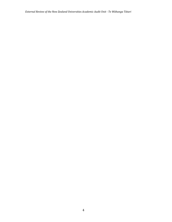*External Review of the New Zealand Universities Academic Audit Unit - Te Wāhanga Tātari*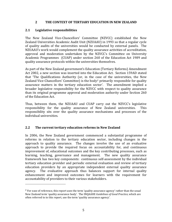# **2 THE CONTEXT OF TERTIARY EDUCATION IN NEW ZEALAND**

# 2.1 Legislative responsibilities

 $\overline{a}$ 

The New Zealand Vice-Chancellors' Committee (NZVCC) established the New Zealand Universities Academic Audit Unit (NZUAAU) in 1993 so that a regular cycle of quality audits of the universities would be conducted by external panels. The NZUAAU's work would complement the quality assurance activities of accreditation, approval and moderation undertaken by the NZVCC's Committee on University Academic Programmes (CUAP) under section 260 of the Education Act 1989 and quality assurance protocols within the universities themselves.

As part of the New Zealand government's Education (Tertiary Reforms) Amendment Act 2002, a new section was inserted into the Education Act. Section 159AD stated that 'The Qualifications Authority (or, in the c[a](#page-12-0)se of the universities, the New Zealand Vice-Chancellors' Committee) is the body<sup>2</sup> primarily responsible for quality assurance matters in the tertiary education sector'. The amendment implied a broader legislative responsibility for the NZVCC with respect to quality assurance than its original programme approval and moderation authority under Section 260 of the Education Act.

Thus, between them, the NZUAAU and CUAP carry out the NZVCC's legislative responsibility for the quality assurance of New Zealand universities. This responsibility sits over the quality assurance mechanisms and processes of the ndividual universities. i

# **2.2 The current tertiary education reforms in New Zealand**

In 2006, the New Zealand government commenced a substantial programme of reforms in relation to the tertiary education sector, including changes in the approach to quality assurance. The changes involve the use of an evaluative approach to provide the required focus on accountability for, and continuous improvement of, educational outcomes and the key contributing processes, such as learning, teaching, governance and management. The new quality assurance framework has two key components: continuous self-assessment by the individual tertiary education provider and periodic external evaluation and review of tertiary education providers by an appropriate independent external quality assurance agency. The evaluative approach thus balances support for internal quality enhancement and improved outcomes for learners with the requirement for accountability of providers to their various stakeholders.

<span id="page-12-0"></span> $<sup>2</sup>$  For ease of reference, this report uses the term 'quality assurance agency' rather than the usual</sup> New Zealand term 'quality assurance body'. The INQAAHE *Guidelines of Good Practice*, which are often referred to in this report, use the term 'quality assurance agency'.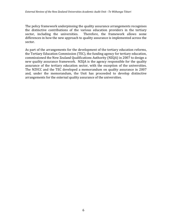The policy framework underpinning the quality assurance arrangements recognises the distinctive contributions of the various education providers in the tertiary sector, including the universities. Therefore, the framework allows some differences in how the new approach to quality assurance is implemented across the sector.

As part of the arrangements for the development of the tertiary education reforms, the Tertiary Education Commission (TEC), the funding agency for tertiary education, commissioned the New Zealand Qualifications Authority (NZQA) in 2007 to design a new quality assurance framework. NZQA is the agency responsible for the quality assurance of the tertiary education sector, with the exception of the universities. The NZVCC and the TEC developed a memorandum on quality assurance in 2007 and, under the memorandum, the Unit has proceeded to develop distinctive arrangements for the external quality assurance of the universities.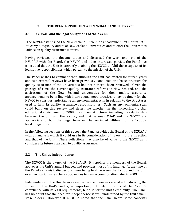# **3 THE RELATIONSHIP BETWEEN NZUAAU AND THE NZVCC**

# **3.1 NZUAAU and the legal obligations of the NZVCC**

The NZVCC established the New Zealand Universities Academic Audit Unit in 1993 to carry out quality audits of New Zealand universities and to offer the universities advice on quality assurance matters.

Having reviewed the documentation and discussed the work and role of the NZUAAU with the Board, the NZVCC and other interested parties, the Panel has concluded that the Unit is currently enabling the NZVCC to fulfil those aspects of its legislative responsibilities which pertain to the mission of the Unit.

The Panel wishes to comment that, although the Unit has existed for fifteen years and two external reviews have been previously conducted, the basic structure for quality assurance of the universities has not hitherto been reviewed. Given the passage of time, the current quality assurance reforms in New Zealand, and the aspirations of the New Zealand universities for their quality assurance arrangements to be in line with international good practice, it may be timely for the NZVCC to consider undertaking an environmental scan in relation to the structures used to fulfil its quality assurance responsibilities. Such an environmental scan could build on this review and determine whether, in the increasingly global educational environment of 2009, the current structures, including the relationship between the Unit and the NZVCC, and that between CUAP and the NZVCC, are appropriate for both the longer term and the continued fulfilment of the NZVCC's legal obligations.

In the following sections of this report, the Panel provides the Board of the NZUAAU with an analysis which it could use in its consideration of its own future direction and that of the Unit. These reflections may also be of value to the NZVCC as it considers its future approach to quality assurance.

# **3.2 The Unit's independence**

The NZVCC is the owner of the NZUAAU. It appoints the members of the Board, approves the Unit's annual budget, and provides most of its funding. At the time of the Panel's site visit, discussions were being held between the NZVCC and the Unit over co-location when the NZVCC moves to new accommodation later in 2009.

Independence of the Unit from its owner, whose members are, albeit indirectly, the subject of the Unit's audits, is important, not only in terms of the NZVCC's compliance with its legal requirements, but also for the Unit's credibility. The Panel has no doubt that the need for independence is well understood by the Unit's main stakeholders. However, it must be noted that the Panel heard some concerns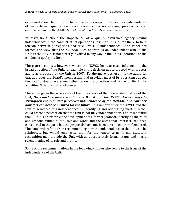expressed about the Unit's public profile in this regard. The need for independence of an external quality assurance agency's decision-making process is also emphasised in the INQAAHE *Guidelines of Good Practice* (see Chapter 6).

In discussions about the importance of a quality assurance agency having independence in the conduct of its operations, it is not unusual for there to be a tension between perceptions and true levels of independence. The Panel has formed the view that the NZUAAU does operate as an independent arm of the NZVCC; the NZVCC is not directly involved in any way in the Unit's operations or the conduct of quality audits.

There are instances, however, where the NZVCC has exercised influence on the broad direction of the Unit, for example in the decision not to proceed with process audits as proposed by the Unit in 2007. Furthermore, because it is the authority that approves the Board's membership and provides most of its operating budget, the NZVCC does have some influence on the direction and scope of the Unit's activities. This is a matter of concern.

Therefore, given the acceptance of the importance of the independent nature of the Unit, *the Panel recommends that the Board and the NZVCC discuss ways to strengthen the real and perceived independence of the NZUAAU and consider how this can best be ensured for the future.* It is important for the NZVCC and the Unit to reinforce this independence by identifying and addressing matters which could create a perception that the Unit is not fully independent or is of lesser status than CUAP. For example, the development of a formal protocol, identifying the roles and responsibilities of the Unit and CUAP and the areas that intersect, has been considered in the past, but the proposals have not been developed or implemented. The Panel will refrain from recommending how the independence of the Unit can be reinforced, but would emphasise that, for the longer term, formal statutory recognition may provide the Unit with an appropriately formal status and thus a strengthening of its role and profile.

Some of the recommendations in the following chapter also relate to the issue of the independence of the Unit.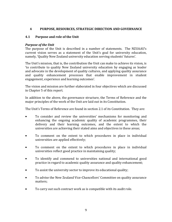# **4 PURPOSE, RESOURCES, STRATEGIC DIRECTION AND GOVERNANCE**

#### **4.1 Purpose and role of the Unit**

#### *Purpose of the Unit*

The purpose of the Unit is described in a number of statements. The NZUAAU's current vision serves as a statement of the Unit's goal for university education, namely, 'Quality New Zealand university education serving students' futures'.

The Unit's mission, that is, the contribution the Unit can make to achieve its vision, is 'to contribute to quality New Zealand university education by engaging as leader and advocate in the development of quality cultures, and applying quality assurance and quality enhancement processes that enable improvement in student engagement, experience and learning outcomes'*.* 

The vision and mission are further elaborated in four objectives which are discussed in Chapter 5 of this report.

In addition to the above, the governance structure, the Terms of Reference and the major principles of the work of the Unit are laid out in its Constitution.

The Unit's Terms of Reference are found in section 2.1 of its Constitution. They are:

- To consider and review the universities' mechanisms for monitoring and enhancing the ongoing academic quality of academic programmes, their delivery and their learning outcomes, and the extent to which the universities are achieving their stated aims and objectives in these areas;
- To comment on the extent to which procedures in place in individual universities are applied effectively;
- To comment on the extent to which procedures in place in individual universities reflect good practice in maintaining quality;
- To identify and commend to universities national and international good practice in regard to academic quality assurance and quality enhancement;
- To assist the university sector to improve its educational quality;
- To advise the New Zealand Vice-Chancellors' Committee on quality assurance matters;
- To carry out such contract work as is compatible with its audit role.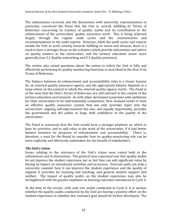The submissions received, and the discussions with university representatives in particular, convinced the Panel that the Unit is, overall, fulfilling its Terms of Reference concerning its conduct of quality audits and its contribution to the enhancement of the universities' quality assurance work. This is being achieved largely through the regular audit cycles and the commentaries and recommendations in the audit reports. However, while the audit cycles and reports enable the Unit to work actively towards fulfilling its vision and mission, there is a need to have a stronger focus on the activities which provide information and advice on quality matters to the universities, and the tertiary education sector more generally (see 5.2 Quality networking and 5.3 Quality practices).

The review also raised questions about the extent to which the Unit is fully and effectively performing its quality monitoring functions as described in the first of its Terms of Reference.

The balance between its enhancement and accountability roles is a classic tension for an external quality assurance agency, and the appropriate balance depends to a large extent on the context in which the external quality agency works. The Panel is of the view that the Unit's Terms of Reference are still relevant in the context of the tertiary education environment. As with other developed economies with ambitions for their universities to be internationally competitive, New Zealand needs to have an effective quality assurance system that not only provides input into the universities' ongoing self-improvement but also, and equally importantly, provides the government and the public at large with confidence in the quality of the universities.

The Panel is convinced that the Unit would have a stronger platform on which to base its activities, and to add value to the work of the universities, if it had better balance between its purposes of enhancement and accountability. There is, herefore, a need for the Board to consider how its quality-monitoring role can be t more explicitly and effectively undertaken for the benefit of stakeholders.

#### *The Unit's vision*

Issues relating to the relevance of the Unit's vision were raised both in the submissions and in discussions. The general view expressed was that quality audits do not improve the student experience *per se,* but they can add significant value by having an impact on educational activities and processes. External audit can help a university consider how it can improve the student experience and the quality of support it provides for learning and teaching, and general student support and welfare. The impact of quality audits on the student experience may also be strengthened with the greater emphasis on learning outcomes introduced in Cycle 4.

At the time of the review, with only two audits conducted in Cycle 4, it is unclear whether the quality audits conducted by the Unit are having a positive effect on the student experience or whether this visionary goal should be further developed. The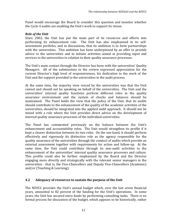Panel would encourage the Board to consider this question and monitor whether he Cycle 4 audits are enabling the Unit's work to support its vision. t

# *Role of the Unit*

Since 2002, the Unit has put the main part of its resources and efforts into performing its enhancement role. The Unit has also emphasised in its selfassessment portfolio, and in discussions, that its ambition is to form partnerships with the universities. This ambition has been underpinned by an offer to provide advice to the universities and to initiate activities aimed at providing input and services to the universities in relation to their quality assurance processes.

The Unit's main contact through the Director has been with the universities' Quality Managers. All of the submissions to the review expressed appreciation for the current Director's high level of responsiveness, his dedication to the work of the Unit and the support provided to the universities in the audit process.

At the same time, the majority view voiced by the universities was that the Unit cannot and should not be speaking on behalf of the universities. The Unit and the universities' internal quality functions perform different roles in the quality assurance environment and the system of checks and balances should be maintained. The Panel holds the view that the policy of the Unit, that its audits should contribute to the enhancement of the quality of the academic activities of the universities, should be integrated into the applied audit approach. It should not be mixed with a role where the Unit provides direct advice on the development of internal quality assurance processes of the individual universities.

The Panel has commented previously on the balance between the Unit's enhancement and accountability roles. The Unit would strengthen its profile if it kept a clearer distinction between its two roles. On the one hand, it should perform effectively and rigorously its distinctive role as the agency responsible for the quality assurance of the universities through the conduct of audits which provide an external assessment together with requirements for action and follow-up. At the same time, the Unit could contribute through its non-audit activities to the enhancement of the universities' internal quality assurance processes and culture. This profile could also be further emphasised by the Board and the Director engaging more directly and strategically with the relevant senior managers in the niversities - that is, the Vice-Chancellors and Deputy Vice-Chancellors (Academic) u and/or (Teaching & Learning).

# **4.2 Adequacy of resources to sustain the purpose of the Unit**

The NZVCC provides the Unit's annual budget which, over the last seven financial years, amounted to 82 percent of the funding for the Unit's operations. In some years, the Unit has secured extra funds by performing consulting tasks. There is no formal process for discussion of the budget, which appears to be historically, rather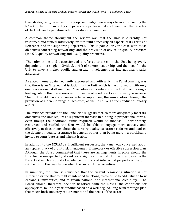than strategically, based and the proposed budget has always been approved by the NZVCC. The Unit currently comprises one professional staff member (the Director of the Unit) and a part-time administrative staff member.

A common theme throughout the review was that the Unit is currently not resourced and staffed sufficiently for it to fulfil effectively all aspects of its Terms of Reference and the supporting objectives. This is particularly the case with those objectives concerning networking, and the provision of advice on quality practices (see 5.2, Quality networking and 5.3, Quality practices).

 The submissions and discussions also referred to a risk in the Unit being overly dependent on a single individual, a risk of narrow leadership, and the need for the Unit to have a higher profile and greater involvement in international quality assurance.

A related theme, again frequently expressed and with which the Panel concurs, was that there is an 'intellectual isolation' in the Unit which is hard to avoid with only one professional staff member. This situation is inhibiting the Unit from taking a leading role in the discussions and provision of good practices in quality assurance. The Unit could have a stronger role in supporting the universities through the provision of a diverse range of activities, as well as through the conduct of quality audits.

The evidence provided to the Panel also suggests that, to more adequately meet its objectives, the Unit requires a significant increase in funding in proportional terms, even though the additional funds required would be modest. Appropriately resourced and staffed, the Unit would be able to engage more actively and effectively in discussions about the tertiary quality assurance reforms, and lead in the debate on quality assurance in general, rather than being merely a participant invited to contribute as and when it is able.

In addition to the NZUAAU's insufficient resources, the Panel was concerned about an apparent lack of a Unit risk management framework or effective succession plan. Although the Board commented that there are arrangements in place should the Director be unexpectedly absent for a significant period of time, it appears to the Panel that much corporate knowledge, history and intellectual property of the Unit will be lost in the near future when the current Director retires.

In summary, the Panel is convinced that the current resourcing situation is not sufficient for the Unit to fulfil its intended functions, to continue to add value to New Zealand's universities, and to retain national and international credibility. The Board should, therefore, seek to negotiate with the NZVCC the conditions for appropriate, multiple-year funding based on a well-argued, long-term strategic plan hat meets both statutory requirements and the needs of the sector. t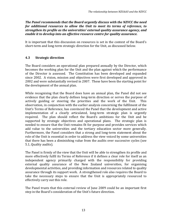*The Panel recommends that the Board urgently discuss with the NZVCC the need for additional resources to allow the Unit to meet its terms of reference, to strengthen its profile as the universities' external quality assurance agency, and enable it to develop into an effective resource centre for quality assurance.* 

It is important that this discussion on resources is set in the context of the Board's short-term and long-term strategic direction for the Unit, as discussed below.

# **4.3 Strategic direction**

The Board considers an operational plan prepared annually by the Director, which becomes the working plan for the Unit and the plan against which the performance of the Director is assessed. The Constitution has been developed and expanded since 2002. A vision, mission and objectives were first developed and approved in 2002 and were substantially revised in 2007. These have been the starting point for the development of the annual plan.

While recognising that the Board does have an annual plan, the Panel did not see evidence that the plan clearly defines long-term direction or serves the purpose of actively guiding or steering the priorities and the work of the Unit. This observation, in conjunction with the earlier analysis concerning the fulfilment of the Unit's Terms of Reference, has convinced the Panel that the development and active implementation of a clearly articulated, long-term strategic plan is urgently required. The plan should reflect the Board's ambitions for the Unit and be supported by strategic objectives and operational plans. The strategic plan is needed to ensure that the Unit remains fit for purpose and provides services which add value to the universities and the tertiary education sector more generally. Furthermore, the Panel considers that a strong and long-term statement about the role of the Unit is essential in order to address the view voiced by some universities that there has been a diminishing value from the audits over successive cycles (see 5.1, Quality audits).

The Panel is firmly of the view that the Unit will be able to strengthen its profile and more effectively fulfil its Terms of Reference if it defines a clear role for itself as an independent agency primarily charged with the responsibility for providing external quality assurance of the New Zealand universities, for organising developmental activities, and providing information and resources related to quality assurance through its support work. A strengthened role also requires the Board to take the necessary steps to ensure that the Unit is appropriately resourced to effectively carry out this role.

The Panel trusts that this external review of June 2009 could be an important first step in the Board's consideration of the Unit's future direction.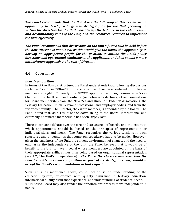*The Panel recommends that the Board use the follow-up to this review as an opportunity to develop a long-term strategic plan for the Unit, focusing on setting the direction for the Unit, considering the balance in the enhancement and accountability roles of the Unit, and the resources required to implement the plan effectively.* 

*The Panel recommends that discussions on the Unit's future role be held before the new Director is appointed, as this would give the Board the opportunity to develop an appropriate profile for the position, to outline the Unit's policy directions and operational conditions to the applicants, and thus enable a more authoritative approach to the role of Director.* 

# **4.4 Governance**

# *Board composition*

In terms of the Board's structure, the Panel understands that, following discussions with the NZVCC in 2004-2005, the size of the Board was reduced from twelve members to eight. Currently, the NZVCC appoints the Chair, nominates a Vice-Chancellor to the Board, and confirms (or potentially declines) other nominations for Board membership from the New Zealand Union of Students' Associations, the Tertiary Education Union, relevant professional and employer bodies, and from the wider community. The Director, the eighth member, is appointed by the Board. The Panel noted that, as a result of the down-sizing of the Board, international and externally-nominated membership has been largely lost.

There is constant debate over the size and structures of boards, and the extent to which appointments should be based on the principles of representation or individual skills and merit. The Panel recognises the various tensions in such structures and understands that compromises always have to be made. However, given the smallness of the Unit, the current environment of change, and the need to emphasise the independence of the Unit, the Panel believes that it would be of benefit to the Unit to have a board whose members are appointed on the basis of their appropriate skills, rather than being based on organisational representation (see 4.2, The Unit's independence). *The Panel therefore recommends that the Board consider its own composition as part of its strategic review, should it accept the Panel's recommendations in that regard.*

Such skills, as mentioned above, could include sound understanding of the education system, experience with quality assurance in tertiary education, international quality assurance experience, and understanding of students' needs. A skills-based Board may also render the appointment process more independent in nature.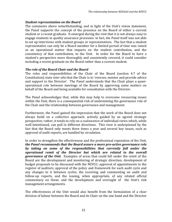# *Student representation on the Board*

The comments above notwithstanding, and in light of the Unit's vision statement, the Panel supports the concept of the presence on the Board of either a current student or a recent graduate. It emerged during the visit that it is not always easy to engage students in quality assurance processes: in fact, the Panel itself was not able to set up interviews with student groups or representatives. The fact that a student representative can only be a Board member for a limited period of time was raised as an operational matter that impacts on the student contribution, and the consistency of that contribution, to the Unit. In order for the Board to have a student's perspective more thoroughly and consistently covered, it could consider ncluding a recent graduate on the Board rather than a current student. i

# *The role of the Board Chair and the Board*

The roles and responsibilities of the Chair of the Board (section 4.7 of the Constitution) state *inter alia* that the Chair is to 'oversee, mentor and provide advice and support to the Director'. The Panel understands that the Chair plays a quasioperational role between meetings of the Board by approving some matters on behalf of the Board and being available for consultation with the Director.

The Panel acknowledges that, while this may help to overcome resourcing issues within the Unit, there is a consequential risk of undermining the governance role of the Chair and the relationship between governance and management.

Furthermore, the Panel gained the impression that the work of the Board does not always build on a collective approach, actively guided by an agreed strategic perspective; rather, it tends to rely on a coalescence of individual views which, while well-intentioned, can pull in different directions. This view is underpinned by the fact that the Board only meets three times a year and several key issues, such as approval of audit reports, are handled by circulation.

In order to strengthen the effectiveness and the professional reputation of the Unit, *the Panel recommends that the Board assure a more pro-active governance role by taking on some of the responsibilities that currently fall under the operational remit of the Director but which are related to the overall governance of the Unit.* Examples of areas that could fall under the remit of the Board are the development and monitoring of strategic direction; development of budget proposals to be discussed with the NZVCC; approval of appointments to the register of auditors; approval of the policy and framework for each audit cycle and any changes to it between cycles; the receiving and commenting on audit and follow-up reports, and the issuing, when appropriate, of any related official commentary on these; and the development and oversight of the Unit's risk management arrangements.

The effectiveness of the Unit would also benefit from the formulation of a clear division of labour between the Board and its Chair on the one hand and the Director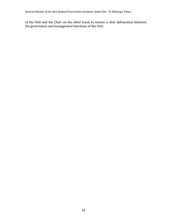of the Unit and the Chair on the other hand, to ensure a clear delineation between the governance and management functions of the Unit.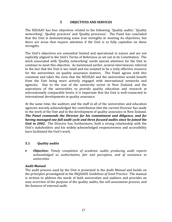#### **5 OBJECTIVES AND SERVICES**

The NZUAAU has four objectives related to the following: 'Quality audits'*,* 'Quality networking'*, '*Quality practices' and *'*Quality processes'*.* The Panel has concluded that the Unit is demonstrating some true strengths in meeting its objectives, but there are areas that require attention if the Unit is to fully capitalise on these strengths.

The Unit's objectives are somewhat limited and operational in nature and are not explicitly aligned to the Unit's Terms of Reference as set out in its Constitution. The work associated with 'Quality networking' needs special attention for the Unit to continue to meet this objective. As mentioned earlier, several interviewees referred to the fact that the Unit is too small and too isolated to be a truly effective resource for the universities on quality assurance matters. The Panel agrees with this comment and takes the view that the NZUAAU and the universities would benefit from the Unit being more actively engaged with international networks and agencies. Due to the size of the university sector in New Zealand, and the aspirations of the universities to provide quality education and research at internationally comparable levels, it is important that the Unit is well-connected to international developments in quality assurance.

At the same time, the auditors and the staff in all of the universities and education agencies warmly acknowledged the contribution that the current Director has made to the work of the Unit and to the development of quality assurance in New Zealand. *The Panel commends the Director for his commitment and diligence, and for having managed one full audit cycle and three focused audits since he joined the Unit in 2002.* The Director has, furthermore, built a strong relationship with the Unit's stakeholders and his widely-acknowledged responsiveness and accessibility have facilitated the Unit's work.

# **5.1 Quality audits**

• **Objective:** *Timely completion of academic audits producing audit reports acknowledged as authoritative, fair and perceptive, and of assistance to universities*

#### *Audit Manual*

The audit process used by the Unit is presented in the *Audit Manual* and builds on the principles promulgated in the INQAAHE *Guidelines of Good Practice*. The manual is written to address the needs of both universities and auditors and provides an easy overview of the purpose of the quality audits, the self-assessment process, and the features of external audit.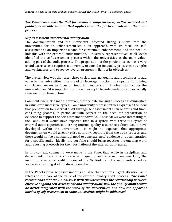#### *The Panel commends the Unit for having a comprehensive, well-structured and publicly accessible manual that applies to all the parties involved in the audit process.*

#### *Self-assessment and external quality audit*

The documentation and the interviews indicated strong support from the universities for an enhancement-led audit approach, with its focus on selfassessment as an important means for continuous enhancement, and the need to link this with the external audit function. University representatives at all levels identified the self-assessment process within the universities as the main valueadding part of the audit process. The preparation of the portfolio is seen as a very useful exercise as it requires a university to consider its quality processes, strengths and weaknesses, and to review overall progress in light of its objectives.

The overall view was that, after three cycles, external quality audit continues to add value to the universities in terms of its leverage function: 'it stops us from being complacent, makes us focus on important matters and involves staff across the university'; and 'it is important for the university to be independently and externally reviewed from time to time'.

Comments were also made, however, that the external audit process has diminished in value over successive cycles. Some university representatives expressed the view that preparation for external audit through self-assessment is an onerous and timeconsuming process, in particular with respect to the need for preparation of evidence to support the self-assessment portfolio. These views were interesting to the Panel, as it would have expected that, in a system with three full cycles of external audit experience, a strong internal quality assurance culture would have developed within the universities. It might be expected that appropriate documentation would already exist naturally, separate from the audit process, and there would not be a substantial need to generate 'new' evidence or documentation for a specific audit. Ideally, the portfolio should bring together the ongoing work and reporting protocols for the information of the external audit panel.

In this context, comments were made to the Panel that, while in disciplines and departments there is a concern with quality and external benchmarking, the institutional external audit process of the NZUAAU is not always understood or appreciated among staff not directly involved.

In the Panel's view, self-assessment is an issue that requires urgent attention, as it relates to the core of the value of the external quality audit process*. The Panel recommends that the Unit discuss with the universities the relationship between effective ongoing self-assessment and quality audit, how the quality audits could*  be better integrated with the work of the universities, and how the apparent burden of self-assessment in some universities might be addressed.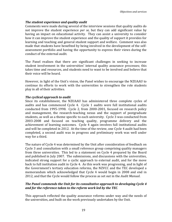#### *The student experience and quality audit*

Comments were made during several of the interview sessions that quality audits do not improve the student experience *per se,* but they can add significant value by having an impact on educational activity. They can assist a university to consider how it can improve the student experience and the quality of support it provides for learning and teaching and general student support and welfare. Comment was also made that students have benefited by being involved in the development of the selfassessment portfolio and having the opportunity to express their views during the conduct of the external audit.

The Panel realises that there are significant challenges in seeking to increase student involvement in the universities' internal quality assurance processes; this takes time and resources, and students need to want to be involved and believe that their voice will be heard.

However, in light of the Unit's vision, the Panel wishes to encourage the NZUAAU to continue its efforts to work with the universities to strengthen the role students play in all of their activities.

#### *The cyclical approach to audit*

Since its establishment, the NZUAAU has administered three complete cycles of audits and has commenced Cycle 4. Cycle 1 audits were full institutional audits conducted from 1995-1998. Cycle 2, from 2000-2001, focused on research policy and management, the research-teaching nexus and the support of postgraduate students, as well as a theme specific to each university. Cycle 3 was conducted from 2003-2008 and focused on teaching quality, programme delivery and the achievement of learning outcomes. Cycle 4 again involves full institutional audits and will be completed in 2012. At the time of the review, one Cycle 4 audit had been completed, a second audit was in progress and preliminary work was well under way for a third.

The nature of Cycle 4 was determined by the Unit after consideration of feedback on Cycle 3 and consultation with a small reference group comprising quality managers from three universities. This led to a statement on Cycle 4 prepared by the Board and published in July 2007. The submissions, and discussions with the universities, indicated strong support for a cyclic approach to external audit, and for the move back to full institution audit in Cycle 4. As this work was progressing, and in light of the Government's tertiary education reforms, the NZVCC and the TEC developed a memorandum which acknowledged that Cycle 4 would begin in 2008 and end in 2012, and that the Cycle would follow the process as set out in the *Audit Manual*.

#### *and for the reference taken to the reform work led by the TEC. The Panel commends the Unit for its consultative approach to developing Cycle 4*

This approach reflected the quality assurance reforms under way and the needs of the universities, and built on the work previously undertaken by the Unit.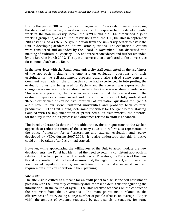During the period 2007-2008, education agencies in New Zealand were developing the details of the tertiary education reforms. In response to this developmental work in the non-university sector, the NZVCC and the TEC established a joint working group and, as a result of discussions with the TEC, the Unit in September 2008 established a reference group drawn from the university sector to assist the Unit in developing academic audit evaluation questions. The evaluation questions were considered and amended by the Board in November 2008, discussed at a meeting of auditors in February 2009 and were reconsidered and further amended by the Board in March 2009. The questions were then distributed to the universities for comment back to the Board.

In the interviews with the Panel, some university staff commented on the usefulness of the approach, including the emphasis on evaluation questions and their usefulness in the self-assessment process; others also raised some concerns. Comment was made on the difficulties some had experienced in interpreting the evaluation questions being used for Cycle 4 and the concern was expressed that changes were made and clarification needed when Cycle 4 was already under way. This was interpreted by the Panel as an expression that the preparations of the evaluation questions were rushed and the approach was not fully understood. 'Recent experience of consecutive iterations of evaluation questions for Cycle 4 audit have, in our view, frustrated universities and probably been counterproductive…. (The Unit should) determine the 'rules' for the cycle before starting. Coupled with the implementation of 'prescribed audit frameworks', 'the potential for inequity in the inputs, process and outcomes related to audit is enhanced.'

The Panel understands that the Unit added the evaluation questions to the Cycle 4 approach to reflect the intent of the tertiary education reforms, as represented in the policy framework for self-assessment and external evaluation and review developed by NZQA during 2007-2008. It is also understood that this initiative could only be taken after Cycle 4 had started.

However, while appreciating the willingness of the Unit to accommodate the new developments, the Panel has identified the need to retain a consistent approach in relation to the basic principles of an audit cycle. Therefore, the Panel is of the view that it is essential that the Board ensures that, throughout Cycle 4, all universities are treated equitably and given sufficient time to take expectations and requirements into consideration in their planning.

# *Site visits*

The site visit is critical as a means for an audit panel to discuss the self-assessment portfolio with the university community and its stakeholders, thus triangulating the information. In the course of Cycle 3, the Unit received feedback on the conduct of the site visit from the universities. The main points made related to the effectiveness of interviewing a large number of people (that is, on average 170 per visit), the amount of evidence requested by audit panels, a tendency for some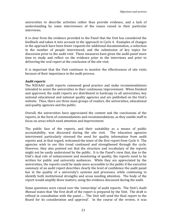universities to describe activities rather than provide evidence, and a lack of understanding by some interviewees of the issues raised in their particular interviews.

It is clear from the evidence provided to the Panel that the Unit has considered the feedback and taken it into account in the approach in Cycle 4. Examples of changes in the approach have been fewer requests for additional documentation, a reduction in the number of people interviewed, and the submission of key topics for discussion prior to the audit visit. These measures have given the audit panel more time to study and reflect on the evidence prior to the interviews and prior to delivering the oral report at the conclusion of the site visit.

It is important that the Unit continues to monitor the effectiveness of site visits because of their importance in the audit process.

#### *Audit reports*

The NZUAAU audit reports commend good practice and make recommendations intended to assist the universities in their continuous improvement. When finished and approved, the audit reports are distributed in hardcopy to all universities, key national educational and national quality agencies and are published on the Unit's website. Thus, there are three main groups of readers, the universities, educational and quality agencies and the public.

Overall, the universities have appreciated the content and the conclusions of the reports, in the form of commendations and recommendations, as they enable staff to focus on areas which need attention and improvement.

report would amplify these matters, using the evidence discussed during the au dit. The public face of the reports, and their suitability as a means of public accountability, was discussed during the site visit. The education agencies interviewed particularly stressed the need for quality information from audit reports and, in that regard, welcomed the tenor of the first report from Cycle 4. The agencies wish to see this trend continued and strengthened through the cycle. However, they also pointed out that the structure and vocabulary of the reports might not be easily understood by the public. It is the Panel's view that, due to the Unit's dual role of enhancement and monitoring of quality, the reports need to be written for public and university audiences. While they are appreciated by the universities, the reports could be made more accessible to the public if the executive summary of an audit report describes clearly the level of confidence the audit panel has in the quality of a university's systems and processes, while continuing to dentify both institutional strengths and areas needing attention. The body of the i

Some questions were raised over the 'ownership' of audit reports. The Unit's *Audit Manual* states that 'the first draft of the report is prepared by the Unit. The draft is refined in consultation with the panel…. The Unit will send the final report to the Board for its consideration and approval'. In the course of the review, it was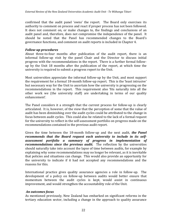confirmed that the audit panel 'owns' the report. The Board only exercises its authority to comment on process and react if proper process has not been followed. It does not comment on, or make changes to, the findings and conclusions of an audit panel and, therefore, does not compromise the independence of the panel. It should be noted that the Panel has recommended changes to the Board's governance functions, and comment on audit reports is included in Chapter 4.

#### *Follow-up procedures*

About three-to-four months after publication of the audit report, there is an informal follow-up visit by the panel Chair and the Director to discuss initial progress with the recommendations in the report. There is a further formal followup by the Unit 18 months after the publication of the report, at which time the university is required to submit a progress report to the Unit.

Most universities appreciate the informal follow-up by the Unit, and most support the requirement for a formal 18-month follow-up report. This is the 'least intrusive' but necessary way for the Unit to ascertain how the university is progressing on the recommendations in the report. This requirement also 'fits naturally into all the other work we (the university staff) are undertaking in terms of our quality enhancement'.

The Panel considers it a strength that the current process for follow-up is clearly articulated. It is, however, of the view that the perception of some that the value of audit has been diminishing over the audit cycles could be attributed to the change in focus between audit cycles. This could also be related to the lack of a formal request for the university to reflect in the self-assessment portfolio on progress made on the recommendations contained in the previous audit report.

Given the time between the 18-month follow-up and the next audit, *the Panel recommends that the Board request each university to include in its selfassessment portfolio a summary of progress in implementation of recommendations since the previous audit.* The reflection by the universities should naturally take into account the lapse of time between audits, for example by explaining why some recommendations may no longer be relevant, as it is inevitable that policies and situations can change. This would also provide an opportunity for the university to indicate if it had not accepted any recommendations and the reasons for this.

International practice gives quality assurance agencies a role in follow-up. The development of a policy on follow-up between audits would better ensure that momentum between the audit cycles is kept, would assist in continuous mprovement, and would strengthen the accountability role of the Unit. i

#### *An outcomes focus*

As mentioned previously, New Zealand has embarked on significant reforms in the tertiary education sector, including a change in the approach to quality assurance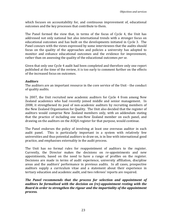which focuses on accountability for, and continuous improvement of, educational outcomes and the key processes that contribute to them.

The Panel formed the view that, in terms of the focus of Cycle 4, the Unit has addressed not only national but also international trends with a stronger focus on educational outcomes and has built on the developments initiated in Cycle 3. The Panel concurs with the views expressed by some interviewees that the audits should focus on the quality of the approaches and policies a university has adopted to monitor and enhance educational outcomes and the evidence for improvement, rather than on assessing the quality of the educational outcomes *per se*.

Given that only one Cycle 4 audit had been completed and therefore only one report published at the time of the review, it is too early to comment further on the effects of the increased focus on outcomes.

#### *Auditors*

The auditors are an important resource in the core service of the Unit - the conduct of quality audits.

In 2007, the Unit recruited new academic auditors for Cycle 4 from among New Zealand academics who had recently joined middle and senior management. In 2008, it strengthened its pool of non-academic auditors by recruiting members of the New Zealand Organisation for Quality. The Unit also decided that the register of auditors would comprise New Zealand members only, with an addendum stating that the practice of including one non-New Zealand member on each panel, and drawing on the auditors on the AUQA register for that purpose, would continue.

The Panel endorses the policy of involving at least one overseas auditor in each audit panel. This is particularly important in a system with relatively few niversities and thus potential auditors to draw on, is in line with international good u practice, and emphasises externality in the audit process.

The Unit has no formal rules for reappointment of auditors to the register. Currently, the Director makes the decisions on re-appointments and new appointments, based on the need to have a range of profiles on the register. Decisions are made in terms of audit experience, university affiliation, discipline areas and the auditors' performance in previous audits. In all cases, prospective auditors supply a curriculum vitae and a statement about their experience in tertiary education and academic audit, and two referees' reports are required.

*The Panel recommends that the process for selection and appointment of auditors be formalised with the decision on (re)-appointment resting with the Board in order to strengthen the rigour and the impartiality of the appointment process.*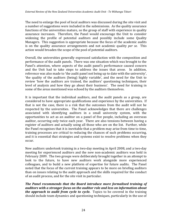The need to enlarge the pool of local auditors was discussed during the site visit and a number of suggestions were included in the submissions. As the quality assurance functions of the universities mature, so the group of staff with experience in quality assurance increases. Therefore, the Panel would encourage the Unit to consider widening the profile of potential auditors and possibly include some Quality Managers. This suggestion is appropriate because the focus of the academic audits is on the quality assurance arrangements and not academic quality *per se*. This action would broaden the scope of the pool of potential auditors.

Overall, the universities generally expressed satisfaction with the composition and performance of the audit panels. There was one situation which was brought to the Panel's attention, where aspects of the audit panel's performance caused concern and the Unit had to take steps to address the issues that arose. In addition, reference was also made to 'the audit panel not being up to date with the university', 'the quality of the auditors (being) highly variable', and the need for the Unit to review 'how the auditors are trained, the auditors' questioning techniques, their level of analysis and how they go about their business'. The need for training in some of the areas mentioned was echoed by the auditors themselves.

It is important that the individual auditors, and the audit panels as a group, are considered to have appropriate qualifications and experience by the universities. If that is not the case, there is a risk that the outcomes from the audit will not be respected by the universities. The Panel acknowledges that there are challenges associated with identifying auditors in a small university system, with the opportunities to act as an auditor on a panel of five people, including an overseas auditor, occurring only twice each year. There are also tensions between having a register of auditors and actually using all those who are on the list. Further, while the Panel recognises that it is inevitable that a problem may arise from time to time, training processes are critical to reducing the chances of such problems occurring, and it is essential that strategies and systems exist to resolve problems when they occur.

New auditors undertook training in a two-day meeting in April 2008, and a two-day meeting for experienced auditors and the new non-academic auditors was held in February 2009. The two groups were deliberately brought together in an attempt to look to the future, to have new auditors work alongside more experienced colleagues, and to build a new platform of expertise for future audits. The Panel noted that the focus of the current training appears to be more on briefing auditors than on issues relating to the audit approach and the skills required for the conduct of an audit process, and for the site visit in particular.

*The Panel recommends that the Board introduce more formalised training of auditors with a stronger focus on the auditor role and less on information about the approach to audit from cycle to cycle.* Topics to be covered in the training should include team dynamics and questioning techniques, particularly in the use of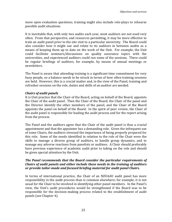more open evaluation questions; training might also include role-plays to rehearse possible audit situations.

It is inevitable that, with only two audits each year, most auditors are not used very often. From that perspective, and resources permitting, it may be more effective to train an audit panel prior to the site visit to a particular university. The Board could also consider how it might use and relate to its auditors in between audits as a means of keeping them up to date on the work of the Unit*.* For example, the Unit could facilitate seminars/discussions on quality assurance topics with the universities, and experienced auditors could run some of the sessions. There could be regular briefings of auditors, for example, by means of annual meetings or newsletters.

The Panel is aware that attending training is a significant time commitment for very busy people, so a balance needs to be struck in terms of how often training sessions are held. However, this is a crucial matter and, in the view of the Panel, training and refresher sessions on the role, duties and skills of an auditor are needed.

#### *Chairs of audit panels*

It is Unit practice that the Chair of the Board, acting on behalf of the Board, appoints the Chair of the audit panel. Then the Chair of the Board, the Chair of the panel and the Director identify the other members of the panel, and the Chair of the Board appoints the panel on behalf of the Board. In the spirit of peer review, the Chair of the audit panel is responsible for leading the audit process and for the report arising from the process.

The Panel and the auditors agree that the Chair of the audit panel is thus a crucial appointment and that the appointee has a demanding role. Given the infrequent use of some Chairs, the auditors stressed the importance of being properly prepared for this role. Some of the needs identified in relation to the role of the Chair were the skills to manage a diverse group of auditors, to handle group dynamics, and to manage any adverse reactions from panelists or auditees. A Chair should preferably have previous experience of academic audit prior to taking on the role and should be given special attention by the Unit.

#### *The Panel recommends that the Board consider the particular requirements of Chairs of audit panels and either include these needs in the training of auditors or provide tailor-made and focused briefing material for audit panel Chairs.*

r esponsible for the decision-making process related to the establishment of audit p anels (see Chapter 4). In terms of international practice, the Chair of an NZUAAU audit panel has more responsibility in the audit process than is common elsewhere; for example, it is not usual for the Chair to be involved in identifying other panel members. In the Panel's view, the Unit's audit procedures would be strengthened if the Board was to be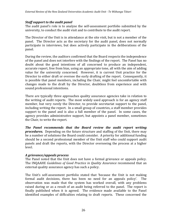#### *Staff support to the audit panel*

The audit panel's role is to analyse the self-assessment portfolio submitted by the university, to conduct the audit visit and to contribute to the audit report.

The Director of the Unit is in attendance at the site visit, but is not a member of the panel. The Director acts as the secretary for the audit panel, does not normally participate in interviews, but does actively participate in the deliberations of the panel.

During the review, the auditors confirmed that the Board respects the independence of the panel and does not interfere with the findings of the report. The Panel has no doubt about the good intentions of all concerned to produce an independent, accurate report, free from bias, using an appropriate tone, all with the aim of adding value for the university concerned. However, it is current Unit practice for the Director to either draft or oversee the early drafting of the report. Consequently, it is possible that panel members, including the Chair, might feel uncomfortable with changes made to the draft by the Director, doubtless from experience and with sound professional intentions.

There are typically three approaches quality assurance agencies take in relation to the writing of audit reports. The most widely used approach is for an agency staff member, but very rarely the Director, to provide secretariat support to the panel, including writing the report. In a small group of countries, a staff member provides support to the panel and is also a full member of the panel. In some cases, the agency provides administrative support, but appoints a panel member, sometimes the Chair, to write the report.

*The Panel recommends that the Board review the audit report writing procedures.* Depending on the future structure and staffing of the Unit, there may be a number of solutions the Board could consider. A priority for additional funding should be a second professional member of the Unit staff who could support audit panels and draft the reports, with the Director overseeing the process at a higher level.

#### *A grievance/appeals process*

The Panel noted that the Unit does not have a formal grievance or appeals policy. The INQAAHE *Guidelines of Good Practice in Quality Assurance* recommend that an external quality assurance agency has such a policy.

The Unit's self-assessment portfolio stated that *'*because the Unit is not making formal audit decisions, there has been no need for an appeals policy'*.* The observation was made that the system has worked overall, with any problems raised during or as a result of an audit being referred to the panel. The report is finally published when it is agreed. The evidence made available to the Panel identified examples of difficulties relating to draft reports. These concerned the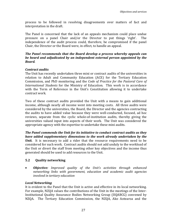process to be followed in resolving disagreements over matters of fact and interpretation in the draft.

The Panel is concerned that the lack of an appeals mechanism could place undue pressure on a panel Chair and/or the Director to put things 'right'. The ndependence of the audit process could, therefore, be compromised if the panel i Chair, the Director or the Board were, in effect, to handle an appeal.

#### *The Panel recommends that the Board develop a process whereby appeals can be heard and adjudicated by an independent external person appointed by the Board.*

# *Contract audits*

The Unit has recently undertaken three mini or contract audits of the universities in relation to Adult and Community Education (ACE) for the Tertiary Education Commission, and PhD monitoring and the *Code of Practice for the Pastoral Care of International Students* for the Ministry of Education. This work is in accordance with the Term of Reference in the Unit's Constitution allowing it to undertake contract work.

Two of these contract audits provided the Unit with a means to gain additional income, although nearly all income went into meeting costs. All three audits were considered by the universities, the Board, the Director and the agencies contracting the audits to have added value because they were well-conducted, focused, ad hoc reviews, separate from the cyclic whole-of-institution audits, thereby giving the niversities valued input into aspects of their work. The Unit was considered the u appropriate agency with the expertise to undertake these mini audits.

*The Panel commends the Unit for its initiative to conduct contract audits as they have added supplementary dimensions to the work already undertaken by the Unit.* It is necessary to add a rider that the resource requirements need to be considered for such work. Contract audits should not add unduly to the workload of the Unit or divert the staff from meeting other key objectives and the income thus generated should be used to add resources to the Unit.

# **5.2 Quality networking**

• *Objective: Improved quality of the Unit's activities through enhanced networking links with government, education and academic audit agencies involved in tertiary education*

# *Local Networking*

It is evident to the Panel that the Unit is active and effective in its local networking. For example, NZQA values the contributions of the Unit in the meetings of the Inter-Institutional Quality Assurance Bodies Networking Group (IIQABCG) convened by NZQA. The Tertiary Education Commission, the NZQA, Ako Aotearoa and the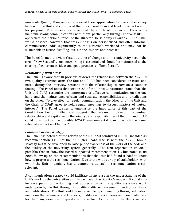university Quality Managers all expressed their appreciation for the contacts they have with the Unit and considered that the current form and level of contact was fit for purpose. The universities recognised the efforts of the current Director to maintain strong communications with them, particularly through annual visits. 'I appreciate the personal touch of the Director. He is always available.' The Panel would observe, however, that this emphasis on personalised and often informal communication adds significantly to the Director's workload and may not be sustainable in future if staffing levels in the Unit are not increased.

The Panel formed the view that, at a time of change and in a university sector the size of New Zealand's, such networking is essential and should be maintained as the sharing of experiences, ideas and good practice is of benefit to all.

# *Relationship with CUAP*

The Panel is aware that, in previous reviews, the relationship between the NZVCC's two quality assurance arms, the Unit and CUAP, had been considered an issue, and noted during the interview sessions that the relationship is now on a sounder footing. The Panel notes that section 2.3 of the Unit's Constitution states that 'the Unit and CUAP recognise the importance of effective communication on the one hand, and the maintenance of clear and separate responsibilities and jurisdictions on the other. To give effect to regular communication, the Director of the Unit and the Chair of CUAP agree to hold regular meetings to discuss matters of mutual interest.' The Panel wishes to emphasise the importance of this part of the Constitution being fulfilled and suggests that means to develop the mutual relationships and capitalise on the joint type of responsibilities of the Unit and CUAP could form part of the possible NZVCC environmental scan to which the Panel referred earlier (see Chapter 2).

#### *Communications Strategy*

relevant. The Panel has noted that the review of the NZUAAU conducted in 2001 included as recommendation 11: That the AAU (sic) Board discuss with the NZVCC how a strategy might be developed to raise public awareness of the work of the AAU and the quality of the university system generally. The Unit reported in its 2009 portfolio that in 2002 the Board supported recommendation 11, but noted in its 2005 follow-up on the recommendations that the Unit had found it hard to know how to progress the recommendation. Due to the wide variety of stakeholders with whom the Unit potentially has to communicate, such a recommendation is still

A communications strategy could facilitate an increase in the understanding of the Unit's work by the universities and, in particular, the Quality Managers. It could also increase public understanding and appreciation of the quality assurance work undertaken by the Unit through its quality audits, enhancement meetings, seminars and publications. The Unit could be more visible by commenting through education media on the release of audit reports, quality assurance issues and could advocate for the many examples of quality in the sector. As the use of the Unit's website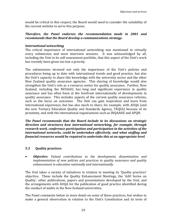would be critical in this respect, the Board would need to consider the suitability of the current website to serve this purpose.

#### *Therefore, the Panel endorses the recommendation made in 2001 and recommends that the Board develop a communications strategy.*

#### *International networking*

The critical importance of international networking was mentioned in virtually every submission and most interview sessions. It was acknowledged by all, including the Unit in its self-assessment portfolio, that this aspect of the Unit's work has recently been given too low a priority.

The submissions stressed not only the importance of the Unit's policies and procedures being up to date with international trends and good practice, but also the Unit's capacity to share this knowledge with the university sector and the other New Zealand quality assurance agencies. This sharing of knowledge would also strengthen the Unit's role as a resource centre for quality assurance. Further, New Zealand, including the NZUAAU, has long and significant experience in quality assurance and has often been at the forefront internationally of developments in quality assurance. This includes aspects of the current quality assurance reforms, such as the focus on outcomes. The Unit can gain inspiration and learn from international experience, but has also much to share, for example, with AUQA (and he new Tertiary Education Quality and Standards Agency, TEQSA) because of its t proximity, and with the international organisations such as INQAAHE and APQN.

*The Panel recommends that the Board include in its discussions on strategic direction and structures how international networking, for example, through research work, conference participation and participation in the activities of the nternational networks, could be undertaken effectively, and what staffing and i inancial resources would be required to undertake this at an appropriate level*. *f*

# **5.3 Quality practices**

• *Objective: Valued contributions to the development, dissemination and implementation of new policies and practices in quality assurance and quality enhancement in education nationally and internationally.*

the conduct of audits in the New Zealand universities. The Unit takes a variety of initiatives in relation to meeting its 'Quality practices' objective**.** These include the Quality Enhancement Meetings, the 'AAU Series on Quality', other publications, papers and presentations developed by the Unit, and the arrangements with AUQA for the publication of good practice identified during

The Panel comments below in more detail on some of these practices, but wishes to make a general observation in relation to the Unit's Constitution and its term of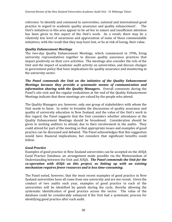reference 'to identify and commend to universities, national and international good practice in regard to academic quality assurance and quality enhancement'. The Unit's initiatives in this area appear to be *ad hoc* in nature and insufficient attention has been given to this aspect of the Unit's work. As a result, there may be a relatively low level of awareness and appreciation of some of these commendable initiatives, with the result that they may have lost, or be at risk of losing, their value.

# *Quality Enhancement Meetings*

The two-day Quality Enhancement Meetings, which commenced in 1996**,** bring university representatives together to discuss quality assurance practices that impact positively on their core activities. The meetings also consider the role of the Unit and the impact of academic audit activity on universities, and discuss changes in government policy that have implications for quality assurance and monitoring in the university sector.

*The Panel commends the Unit on the initiative of the Quality Enhancement Meetings because they provide a systematic means of communication and information sharing with the Quality Managers***.** Overall comments during the Panel's site visit and the regular evaluations at the end of the Quality Enhancement Meetings indicate that these meetings are valued by the people who attend.

The Quality Managers are, however, only one group of stakeholders with whom the Unit needs to liaise. In order to broaden the discussions of quality assurance and quality of university education in New Zealand, and the value of the Unit's work in this regard, the Panel suggests that the Unit considers whether attendance at the Quality Enhancement Meetings should be broadened. Consideration should be given to inviting auditors to attend, due to their involvement in the audits. They could attend for part of the meeting so that appropriate issues and examples of good practice can be discussed and debated. The Panel acknowledges that this suggestion would have financial implications, but considers that significant benefits could follow.

# *Good Practice*

*mechanism requires fewer resources and is less time-consuming.* Examples of good practice in New Zealand universities can be accepted on the AUQA Good Practice Database, an arrangement made possible via the Memorandum of Understanding between the Unit and AUQA. *The Panel commends the Unit for the co-operation with AUQA on this project, as linking up with an existing* 

The Panel noted, however, that the most recent examples of good practice in New Zealand universities have all come from one university and are not recent. Given the conduct of two audits each year, examples of good practice in each of the universities will be identified by panels during the cycle, thereby allowing the systematic identification of good practice across the sector. The value of the database could be considerably enhanced if the Unit had a systematic process for identifying good practice after each audit.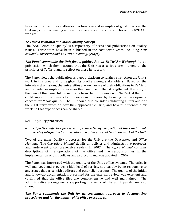In order to attract more attention to New Zealand examples of good practice, the Unit may consider making more explicit reference to such examples on the NZUAAU website.

#### *Te Tiriti o Waitangi and Māori quality concept*

The 'AAU Series on Quality' is a repository of occasional publications on quality ssues. Three titles have been published in the past seven years, including *New*  i Zealand Universities and Te Tiriti o Waitangi (ASQ9).

*The Panel commends the Unit for its publication on Te Tiriti o Waitangi*. It is a publication which demonstrates that the Unit has a serious commitment to the principles of Te Tiriti and to reflect on these in its work.

The Panel views the publication as a good platform to further strengthen the Unit's work in this area and to heighten its profile among stakeholders. Based on the interview discussions, the universities are well aware of their obligations to Te Tiriti and provided examples of strategies that could be further strengthened. It would, in the view of the Panel, follow naturally from the Unit's work with Te Tiriti if the Unit could support the university processes in this area by focusing on developing a concept for Māori quality. The Unit could also consider conducting a mini-audit of the eight universities on how they approach Te Tiriti, and how it influences their work, so that experiences can be shared.

#### **5.4 Quality processes**

• *Objective: Effective processes to produce timely completion of tasks and a high*  level of satisfaction by universities and other stakeholders in the work of the Unit.

Two of the main 'Quality processes' for the Unit are the *Operations* and *Office Manuals.* The *Operations Manual* details all policies and administrative protocols and underwent a comprehensive review in 2007. The *Office Manual* contains descriptions of the operations of the office and the responsibilities in the implementation of Unit policies and protocols, and was updated in 2009.

The Panel was impressed with the quality of the Unit's office systems. The office is well managed and provides a high level of service, not least by being responsive to any issues that arise with auditors and other client groups. The quality of the initial and follow-up documentation presented for the external review was excellent and confirmed that the office files are comprehensive and well maintained. The administrative arrangements supporting the work of the audit panels are also strong.

# *The Panel commends the Unit for its systematic approach to documenting procedures and for the quality of its office procedures.*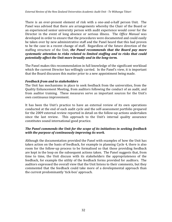There is an ever-present element of risk with a one-and-a-half person Unit. The Panel was advised that there are arrangements whereby the Chair of the Board or an experienced senior university person with audit experience would cover for the Director in the event of long absence or serious illness. The *Office Manual* was developed in order to ensure that the procedures were documented and could easily be taken over by new administrative staff and the Panel heard that this had proven to be the case in a recent change of staff. Regardless of the future direction of the staffing structure of the Unit, *the Panel recommends that the Board pay more systematic attention to risks related to limited staffing and to risks that could potentially affect the Unit more broadly and in the long-term.* 

The Panel makes this recommendation in full knowledge of the significant workload which the current Director has willingly carried. In the Panel's view, it is important that the Board discusses this matter prior to a new appointment being made.

#### *Feedback from and to stakeholders*

The Unit has mechanisms in place to seek feedback from the universities, from the Quality Enhancement Meeting, from auditors following the conduct of an audit, and from auditor training. These measures serve as important sources for the Unit's own continuous improvement.

It has been the Unit's practice to have an external review of its own operations conducted at the end of each audit cycle and the self-assessment portfolio prepared for the 2009 external review reported in detail on the follow-up actions undertaken since the last review. This approach to the Unit's internal quality assurance onstitutes sound international good practice. c

#### *The Panel commends the Unit for the scope of its initiatives in seeking feedback with the purpose of continuously improving its work.*

Although the documentation provided the Panel with examples of how the Unit has taken action on the basis of feedback, for example in planning Cycle 4, there is also room for the follow-up process to be formalised so that those providing feedback are kept in the loop on the subsequent actions taken. The Panel suggests that, from time to time, the Unit discuss with its stakeholders the appropriateness of the feedback, for example the utility of the feedback forms provided for auditors. The auditors expressed the overall view that the Unit listens to their comments, but they ommented that the feedback could take more of a developmental approach than c he current predominantly 'tick-box' approach. t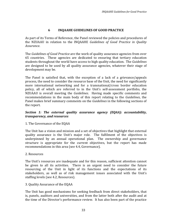# **6 INQAAHE GUIDELINES OF GOOD PRACTICE**

As part of its Terms of Reference, the Panel reviewed the policies and procedures of he NZUAAU in relation to the INQAAHE *Guidelines of Good Practice in Quality*  t Assurance.

The *Guidelines of Good Practice* are the work of quality assurance agencies from over 65 countries. These agencies are dedicated to ensuring that tertiary education students throughout the world have access to high quality education. The *Guidelines* are designed to be used by all quality assurance agencies, whatever their stage of development may be.

The Panel is satisfied that, with the exception of a lack of a grievance/appeals process, the need to consider the resource base of the Unit, the need for significantly more international networking and for a transnational/cross border education policy, all of which are referred to in the Unit's self-assessment portfolio, the NZUAAU is overall meeting the *Guidelines*. Having made specific comments and recommendations in the main body of this report relating to the *Guidelines*, the Panel makes brief summary comments on the *Guidelines* in the following sections of the report.

# *Section 1: The external quality assurance agency (EQAA): accountability, transparency, and resources*

1. The Governance of the EQAA

The Unit has a vision and mission and a set of objectives that highlight that external quality assurance is the Unit's major role. The fulfilment of the objectives is underpinned by an annual operational plan. The ownership and governance structure is appropriate for the current objectives, but the report has made recommendations in this area (see 4.4, Governance).

#### 2. Resources

The Unit's resources are inadequate and for this reason, sufficient attention cannot be given to all its activities. There is an urgent need to consider the future resourcing of the Unit in light of its functions and the expectations of its stakeholders, as well as of risk management issues associated with the Unit's staffing levels (see 4.2, Resources).

3. Quality Assurance of the EQAA

The Unit has good mechanisms for seeking feedback from direct stakeholders, that is, panels, auditors and universities, and from the latter both after the audit and at the time of the Director's performance review. It has also been part of the practice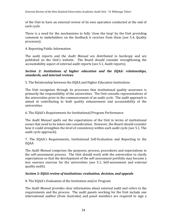of the Unit to have an external review of its own operation conducted at the end of each cycle.

There is a need for the mechanisms to fully 'close the loop' by the Unit providing comment to stakeholders on the feedback it receives from them (see 5.4, Quality processes).

4. Reporting Public Information

The audit reports and the *Audit Manual* are distributed in hardcopy and are published on the Unit's website. The Board should consider strengthening the accountability aspect of external audit reports (see 5.1, Audit reports).

# *Section 2: Institutions of higher education and the EQAA: relationships, standards, and internal reviews*

5. The Relationship between the EQAA and Higher Education Institutions

The Unit recognises through its processes that institutional quality assurance is primarily the responsibility of the universities. The Unit consults representatives of the universities prior to the commencement of an audit cycle. The audit approach is aimed at contributing to both quality enhancement and accountability of the universities.

# 6. The EQAA's Requirements for Institutional/Program Performance

The *Audit Manual* spells out the expectations of the Unit in terms of institutional issues that need to be taken into consideration. However, the Board should consider how it could strengthen the level of consistency within each audit cycle (see 5.1, The audit cycle approach).

7. The EQAA's Requirements, Institutional Self-Evaluation and Reporting to the EQAA

The *Audit Manual* comprises the purposes, process, procedures and expectations in the self-assessment process. The Unit should work with the universities to clarify expectations so that the development of the self-assessment portfolio may become a less onerous exercise for the universities (see 5.1, Self-assessment and external quality audit).

# *Section 3: EQAA review of institutions: evaluation, decision, and appeals*

8. The EQAA's Evaluation of the Institution and/or Program

The *Audit Manual* provides clear information about external audit and refers to the requirements and the process. The audit panels working for the Unit include one international auditor (from Australia) and panel members are required to sign a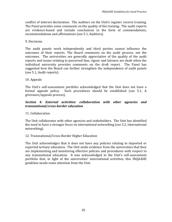conflict of interest declaration. The auditors on the Unit's register receive training. The Panel provides some comments on the quality of the training. The audit reports are evidence-based and include conclusions in the form of commendations, recommendations and affirmations (see 5.1, Auditors).

#### 9. Decisions

The audit panels work independently and third parties cannot influence the outcomes of their reports. The Board comments on the audit process, not the outcomes. The universities are generally appreciative of the quality of the audit reports and issues relating to perceived bias, rigour and fairness are dealt when the individual university provides comments on the draft report. The Panel has suggested how the Board can further strengthen the independence of audit panels (see 5.1, Audit reports).

#### 10. Appeals

The Unit's self-assessment portfolio acknowledged that the Unit does not have a formal appeals policy. Such procedures should be established (see 5.1, A grievance/appeals process).

# *Section 4: External activities: collaboration with other agencies and transnational/cross-border education*

#### 11. Collaboration

The Unit collaborates with other agencies and stakeholders. The Unit has identified the need to have a stronger focus on international networking (see 5.2, International networking).

#### 12. Transnational/Cross-Border Higher Education

The Unit acknowledges that it does not have any policies relating to imported or exported tertiary education. The Unit seeks evidence from the universities that they are implementing and monitoring effective policies and procedures with respect to any transnational education. It was acknowledged in the Unit's self-assessment portfolio that, in light of the universities' international activities, this INQAAHE guideline needs some attention from the Unit.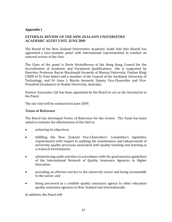#### **Appendix I**

# **EXTERNAL REVIEW OF THE NEW ZEALAND UNIVERSITIES ACADEMIC AUDIT UNIT, JUNE 2009**

The Board of the New Zealand Universities Academic Audit Unit (the Board) has appointed a four-member panel with international representation to conduct an external review of the Unit.

The Chair of the panel is Dorte Kristoffersen of the Hong Kong Council for the Accreditation of Academic and Vocational Qualifications. She is supported by Emeritus Professor Barrie Macdonald formerly of Massey University, Pauline Kingi CNZM of Te Puni Kokiri and a member of the Council of the Auckland University of Technology, and Dr Anne L Martin formerly Deputy Vice-Chancellor and Vice-President (Academic) at Deakin University, Australia.

Exmoor Associates Ltd has been appointed by the Board to act as the Secretariat to the Panel.

The site visit will be conducted in June 2009.

#### **Terms of Reference**

The Board has developed Terms of Reference for the review. The Panel has been asked to evaluate the effectiveness of the Unit in:

- achieving its objectives;
- fulfilling the New Zealand Vice-Chancellors' Committee's legislative requirements with respect to auditing the maintenance and enhancement of university quality processes associated with quality teaching and learning in a research environment;
- administering audit activities in accordance with the good practice guidelines of the International Network of Quality Assurance Agencies in Higher Education;
- providing an effective service to the university sector and being accountable to the sector; and
- being perceived as a credible quality assurance agency to other education quality assurance agencies in New Zealand and internationally.

In addition, the Panel will: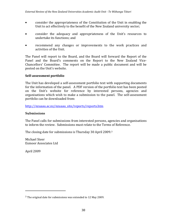- consider the appropriateness of the Constitution of the Unit in enabling the Unit to act effectively to the benefit of the New Zealand university sector;
- consider the adequacy and appropriateness of the Unit's resources to undertake its functions; and
- recommend any changes or improvements to the work practices and activities of the Unit.

The Panel will report to the Board, and the Board will forward the Report of the Panel and the Board's comments on the Report to the New Zealand Vice-Chancellors' Committee. The report will be made a public document and will be posted on the Unit's website.

# **Self-assessment portfolio**

The Unit has developed a self-assessment portfolio text with supporting documents for the information of the panel. A PDF version of the portfolio text has been posted on the Unit's website for reference by interested persons, agencies and organisations which wish to make a submission to the panel. The self-assessment portfolio can be downloaded from:

[http://nzuaau.ac.nz/nzuaau\\_site/reports/reports.htm](http://nzuaau.ac.nz/nzuaau_site/reports/reports.htm)

# **Submissions**

The Panel calls for submissions from interested persons, agencies and organisations to inform the review. Submissions must relate to the Terms [o](#page-45-0)f Reference.

The closing date for submissions is Thursday 30 April 2009.[3](#page-45-0)

Michael Steer Exmoor Associates Ltd

April 2009

 $\overline{a}$ 

<span id="page-45-0"></span><sup>3</sup> The original date for submissions was extended to 12 May 2009.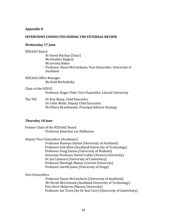#### **Appendix II**

#### **INTERVIEWS CONDUCTED DURING THE EXTERNAL REVIEW**

#### **Wednesday 17 June**

#### NZUAAU Board

 Dr David Mackay (Chair) Ms Heather Baigent Mr Jeremy Baker Professor Stuart McCutcheon, Vice-Chancellor, University of Auckland

NZUAAU Office Manager Ms Ruth Berkalitzky

#### Chair of the NZVCC

Professor Roger Field, Vice-Chancellor, Lincoln University

The TEC Dr Roy Sharp, Chief Executive Dr Colin Webb, Deputy Chief Executive Ms Hilary Branthwaite, Principal Advisor Strategy

# **Thursday 18 June**

Former Chair of the NZUAAU Board Professor Emeritus Les Holborow

Deputy Vice-Chancellors (Academic)

Professor Raewyn Dalziel (University of Auckland) ) Professor Rob Allen (Auckland University of Technology Professor Doug Sutton (University of Waikato) Associate Professor David Crabbe (Victoria University) ) Professor Sheelagh Matear (Lincoln University Dr Jan Cameron (University of Canterbury) Professor Gareth Jones (University of Otago)

#### Vice-Chancellors

 Professor Stuart McCutcheon (University of Auckland) Mr Derek McCormack (Auckland University of Technology) Hon Steve Maharey (Massey University) Professor Ian Town (for Dr Rod Carr) (University of Canterbury)